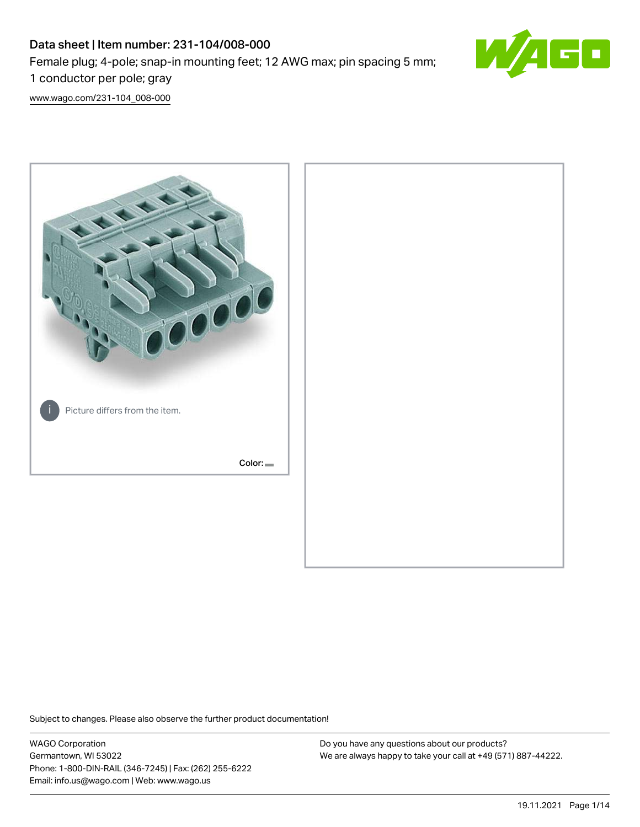# Data sheet | Item number: 231-104/008-000 Female plug; 4-pole; snap-in mounting feet; 12 AWG max; pin spacing 5 mm; 1 conductor per pole; gray



[www.wago.com/231-104\\_008-000](http://www.wago.com/231-104_008-000)



Subject to changes. Please also observe the further product documentation!

WAGO Corporation Germantown, WI 53022 Phone: 1-800-DIN-RAIL (346-7245) | Fax: (262) 255-6222 Email: info.us@wago.com | Web: www.wago.us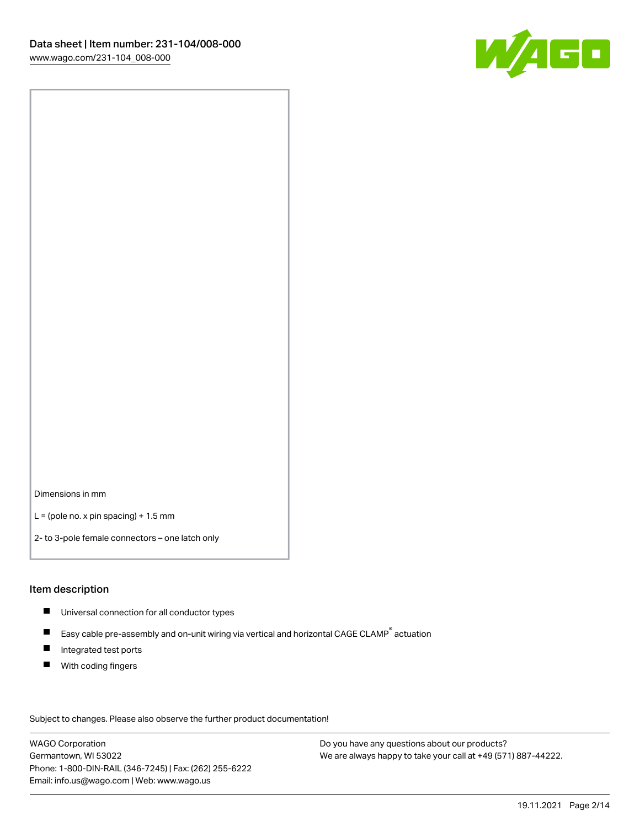

Dimensions in mm

 $L =$  (pole no. x pin spacing) + 1.5 mm

2- to 3-pole female connectors – one latch only

#### Item description

- **Universal connection for all conductor types**
- Easy cable pre-assembly and on-unit wiring via vertical and horizontal CAGE CLAMP<sup>®</sup> actuation  $\blacksquare$
- $\blacksquare$ Integrated test ports
- $\blacksquare$ With coding fingers

Subject to changes. Please also observe the further product documentation! Data

WAGO Corporation Germantown, WI 53022 Phone: 1-800-DIN-RAIL (346-7245) | Fax: (262) 255-6222 Email: info.us@wago.com | Web: www.wago.us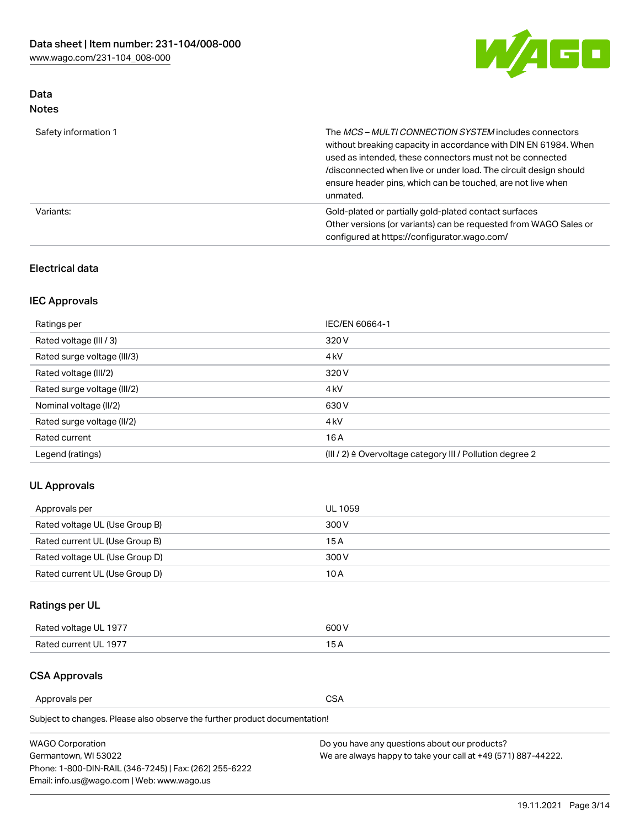

# Data Notes

| Safety information 1 | The MCS-MULTI CONNECTION SYSTEM includes connectors<br>without breaking capacity in accordance with DIN EN 61984. When<br>used as intended, these connectors must not be connected<br>/disconnected when live or under load. The circuit design should<br>ensure header pins, which can be touched, are not live when<br>unmated. |
|----------------------|-----------------------------------------------------------------------------------------------------------------------------------------------------------------------------------------------------------------------------------------------------------------------------------------------------------------------------------|
| Variants:            | Gold-plated or partially gold-plated contact surfaces<br>Other versions (or variants) can be requested from WAGO Sales or<br>configured at https://configurator.wago.com/                                                                                                                                                         |

# Electrical data

# IEC Approvals

| Ratings per                 | IEC/EN 60664-1                                                        |
|-----------------------------|-----------------------------------------------------------------------|
| Rated voltage (III / 3)     | 320 V                                                                 |
| Rated surge voltage (III/3) | 4 <sub>k</sub> V                                                      |
| Rated voltage (III/2)       | 320 V                                                                 |
| Rated surge voltage (III/2) | 4 <sub>k</sub> V                                                      |
| Nominal voltage (II/2)      | 630 V                                                                 |
| Rated surge voltage (II/2)  | 4 <sub>k</sub> V                                                      |
| Rated current               | 16A                                                                   |
| Legend (ratings)            | $(III / 2)$ $\triangle$ Overvoltage category III / Pollution degree 2 |

# UL Approvals

| Approvals per                  | UL 1059 |
|--------------------------------|---------|
| Rated voltage UL (Use Group B) | 300 V   |
| Rated current UL (Use Group B) | 15 A    |
| Rated voltage UL (Use Group D) | 300 V   |
| Rated current UL (Use Group D) | 10 A    |

# Ratings per UL

| Rated voltage UL 1977 | 300 V |
|-----------------------|-------|
| Rated current UL 1977 |       |

# CSA Approvals

Approvals per CSA

Subject to changes. Please also observe the further product documentation!

| <b>WAGO Corporation</b>                                | Do you have any questions about our products?                 |
|--------------------------------------------------------|---------------------------------------------------------------|
| Germantown, WI 53022                                   | We are always happy to take your call at +49 (571) 887-44222. |
| Phone: 1-800-DIN-RAIL (346-7245)   Fax: (262) 255-6222 |                                                               |
| Email: info.us@wago.com   Web: www.wago.us             |                                                               |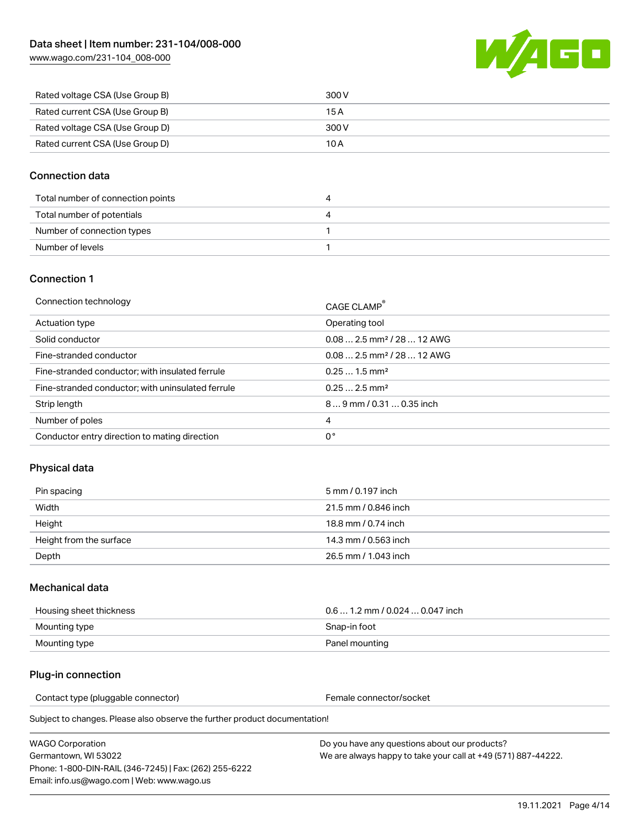[www.wago.com/231-104\\_008-000](http://www.wago.com/231-104_008-000)



| Rated voltage CSA (Use Group B) | 300 V |
|---------------------------------|-------|
| Rated current CSA (Use Group B) | 15 A  |
| Rated voltage CSA (Use Group D) | 300 V |
| Rated current CSA (Use Group D) | 10 A  |

### Connection data

| Total number of connection points | 4 |
|-----------------------------------|---|
| Total number of potentials        | 4 |
| Number of connection types        |   |
| Number of levels                  |   |

#### Connection 1

| Connection technology                             | CAGE CLAMP <sup>®</sup>                 |
|---------------------------------------------------|-----------------------------------------|
| Actuation type                                    | Operating tool                          |
| Solid conductor                                   | $0.082.5$ mm <sup>2</sup> / 28  12 AWG  |
| Fine-stranded conductor                           | $0.08$ 2.5 mm <sup>2</sup> / 28  12 AWG |
| Fine-stranded conductor; with insulated ferrule   | $0.251.5$ mm <sup>2</sup>               |
| Fine-stranded conductor; with uninsulated ferrule | $0.252.5$ mm <sup>2</sup>               |
| Strip length                                      | 89 mm / 0.31  0.35 inch                 |
| Number of poles                                   | 4                                       |
| Conductor entry direction to mating direction     | 0°                                      |

# Physical data

| Pin spacing             | 5 mm / 0.197 inch    |
|-------------------------|----------------------|
| Width                   | 21.5 mm / 0.846 inch |
| Height                  | 18.8 mm / 0.74 inch  |
| Height from the surface | 14.3 mm / 0.563 inch |
| Depth                   | 26.5 mm / 1.043 inch |

#### Mechanical data

| Housing sheet thickness | $0.61.2$ mm / 0.024  0.047 inch |
|-------------------------|---------------------------------|
| Mounting type           | Snap-in foot                    |
| Mounting type           | Panel mounting                  |

#### Plug-in connection

Contact type (pluggable connector) example a set of the Female connector/socket

Subject to changes. Please also observe the further product documentation!

WAGO Corporation Germantown, WI 53022 Phone: 1-800-DIN-RAIL (346-7245) | Fax: (262) 255-6222 Email: info.us@wago.com | Web: www.wago.us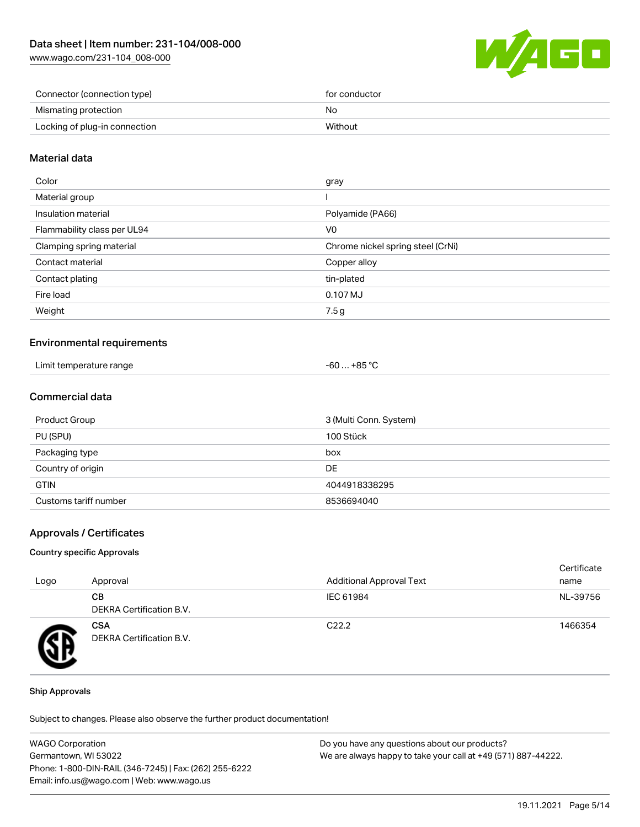[www.wago.com/231-104\\_008-000](http://www.wago.com/231-104_008-000)



| Connector (connection type)   | for conductor |
|-------------------------------|---------------|
| Mismating protection          | No            |
| Locking of plug-in connection | Without       |

### Material data

| Color                       | gray                              |
|-----------------------------|-----------------------------------|
| Material group              |                                   |
| Insulation material         | Polyamide (PA66)                  |
| Flammability class per UL94 | V <sub>0</sub>                    |
| Clamping spring material    | Chrome nickel spring steel (CrNi) |
| Contact material            | Copper alloy                      |
| Contact plating             | tin-plated                        |
| Fire load                   | 0.107 MJ                          |
| Weight                      | 7.5g                              |
|                             |                                   |

#### Environmental requirements

| Limit temperature range<br>. | $-60+85 °C$ |
|------------------------------|-------------|
|------------------------------|-------------|

# Commercial data

| Product Group         | 3 (Multi Conn. System) |
|-----------------------|------------------------|
| PU (SPU)              | 100 Stück              |
| Packaging type        | box                    |
| Country of origin     | DE                     |
| <b>GTIN</b>           | 4044918338295          |
| Customs tariff number | 8536694040             |

#### Approvals / Certificates

#### Country specific Approvals

| Logo | Approval                               | <b>Additional Approval Text</b> | Certificate<br>name |
|------|----------------------------------------|---------------------------------|---------------------|
|      | CВ<br>DEKRA Certification B.V.         | IEC 61984                       | NL-39756            |
| Ð    | <b>CSA</b><br>DEKRA Certification B.V. | C <sub>22.2</sub>               | 1466354             |

#### Ship Approvals

Subject to changes. Please also observe the further product documentation!

| <b>WAGO Corporation</b>                                | Do you have any questions about our products?                 |
|--------------------------------------------------------|---------------------------------------------------------------|
| Germantown, WI 53022                                   | We are always happy to take your call at +49 (571) 887-44222. |
| Phone: 1-800-DIN-RAIL (346-7245)   Fax: (262) 255-6222 |                                                               |
| Email: info.us@wago.com   Web: www.wago.us             |                                                               |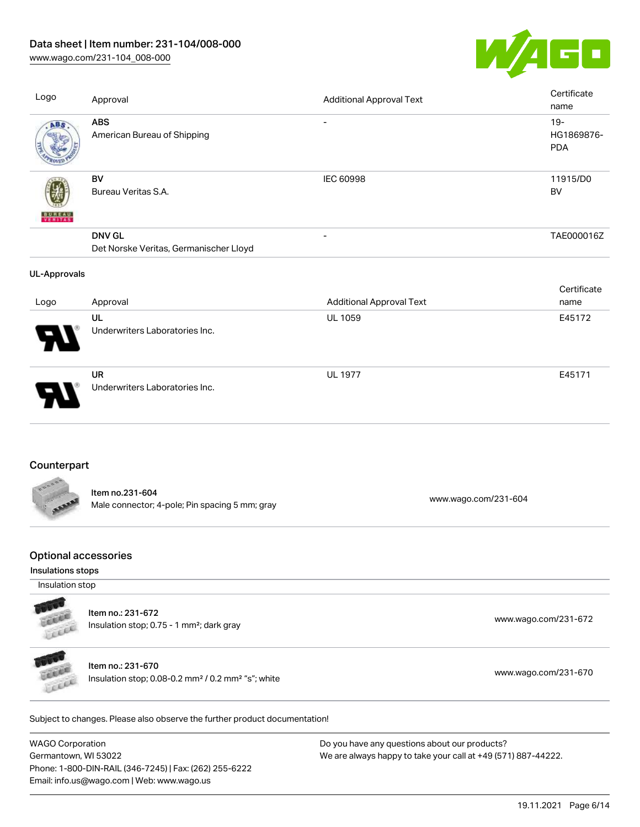[www.wago.com/231-104\\_008-000](http://www.wago.com/231-104_008-000)



| <b>ABS</b><br>American Bureau of Shipping                                                       | $\overline{\phantom{a}}$        |                                                                                                    |  |
|-------------------------------------------------------------------------------------------------|---------------------------------|----------------------------------------------------------------------------------------------------|--|
|                                                                                                 |                                 | $19 -$<br>HG1869876-<br>PDA                                                                        |  |
| BV<br>Bureau Veritas S.A.                                                                       | <b>IEC 60998</b>                | 11915/D0<br><b>BV</b>                                                                              |  |
| <b>DNV GL</b><br>Det Norske Veritas, Germanischer Lloyd                                         | $\overline{\phantom{a}}$        | TAE000016Z                                                                                         |  |
|                                                                                                 |                                 | Certificate                                                                                        |  |
| Approval                                                                                        | <b>Additional Approval Text</b> | name                                                                                               |  |
| UL<br>Underwriters Laboratories Inc.                                                            | UL 1059                         | E45172                                                                                             |  |
| <b>UR</b><br>Underwriters Laboratories Inc.                                                     | <b>UL 1977</b>                  | E45171                                                                                             |  |
| Counterpart                                                                                     |                                 |                                                                                                    |  |
| Item no.231-604<br>Male connector; 4-pole; Pin spacing 5 mm; gray                               |                                 |                                                                                                    |  |
| <b>Optional accessories</b><br>Insulations stops                                                |                                 |                                                                                                    |  |
| Insulation stop                                                                                 |                                 |                                                                                                    |  |
| Item no.: 231-672<br>Insulation stop; 0.75 - 1 mm <sup>2</sup> ; dark gray                      |                                 | www.wago.com/231-672                                                                               |  |
| Item no.: 231-670<br>Insulation stop; 0.08-0.2 mm <sup>2</sup> / 0.2 mm <sup>2</sup> "s"; white |                                 | www.wago.com/231-670                                                                               |  |
|                                                                                                 |                                 | www.wago.com/231-604<br>Subject to changes. Please also observe the further product documentation! |  |

WAGO Corporation Germantown, WI 53022 Phone: 1-800-DIN-RAIL (346-7245) | Fax: (262) 255-6222 Email: info.us@wago.com | Web: www.wago.us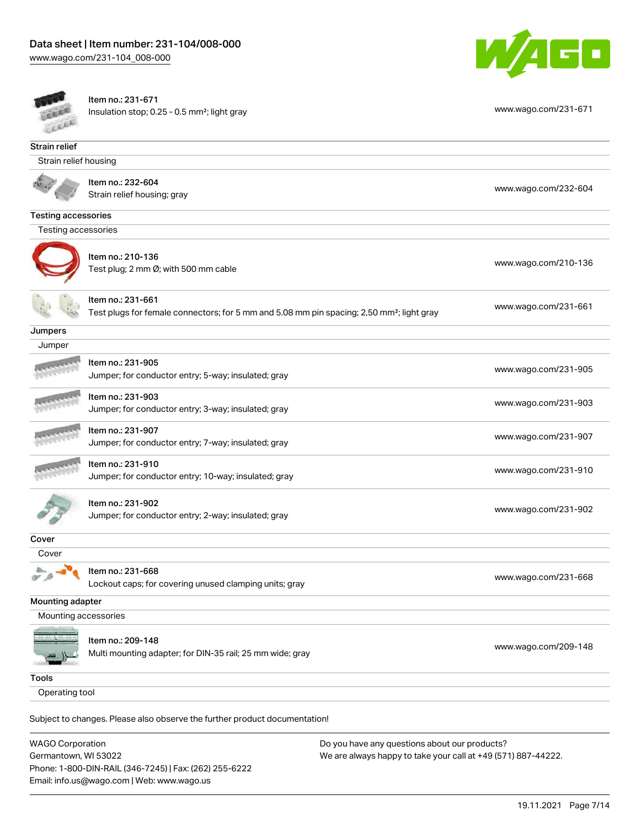Email: info.us@wago.com | Web: www.wago.us





Item no.: 231-671 Insulation stop; 0.25 - 0.5 mm²; light gray [www.wago.com/231-671](http://www.wago.com/231-671)

| Strain relief              |                                                                                                                            |                                                               |  |  |  |
|----------------------------|----------------------------------------------------------------------------------------------------------------------------|---------------------------------------------------------------|--|--|--|
| Strain relief housing      |                                                                                                                            |                                                               |  |  |  |
|                            | Item no.: 232-604<br>Strain relief housing; gray                                                                           | www.wago.com/232-604                                          |  |  |  |
| <b>Testing accessories</b> |                                                                                                                            |                                                               |  |  |  |
| Testing accessories        |                                                                                                                            |                                                               |  |  |  |
|                            |                                                                                                                            |                                                               |  |  |  |
|                            | Item no.: 210-136<br>Test plug; 2 mm Ø; with 500 mm cable                                                                  | www.wago.com/210-136                                          |  |  |  |
|                            | Item no.: 231-661<br>Test plugs for female connectors; for 5 mm and 5.08 mm pin spacing; 2,50 mm <sup>2</sup> ; light gray | www.wago.com/231-661                                          |  |  |  |
| Jumpers                    |                                                                                                                            |                                                               |  |  |  |
| Jumper                     |                                                                                                                            |                                                               |  |  |  |
|                            | Item no.: 231-905<br>Jumper; for conductor entry; 5-way; insulated; gray                                                   | www.wago.com/231-905                                          |  |  |  |
|                            | Item no.: 231-903                                                                                                          |                                                               |  |  |  |
|                            | Jumper; for conductor entry; 3-way; insulated; gray                                                                        | www.wago.com/231-903                                          |  |  |  |
|                            | Item no.: 231-907<br>Jumper; for conductor entry; 7-way; insulated; gray                                                   | www.wago.com/231-907                                          |  |  |  |
|                            | Item no.: 231-910                                                                                                          |                                                               |  |  |  |
|                            | Jumper; for conductor entry; 10-way; insulated; gray                                                                       | www.wago.com/231-910                                          |  |  |  |
|                            | Item no.: 231-902<br>Jumper; for conductor entry; 2-way; insulated; gray                                                   | www.wago.com/231-902                                          |  |  |  |
| Cover                      |                                                                                                                            |                                                               |  |  |  |
| Cover                      |                                                                                                                            |                                                               |  |  |  |
|                            | Item no.: 231-668<br>Lockout caps; for covering unused clamping units; gray                                                | www.wago.com/231-668                                          |  |  |  |
| Mounting adapter           |                                                                                                                            |                                                               |  |  |  |
| Mounting accessories       |                                                                                                                            |                                                               |  |  |  |
|                            | Item no.: 209-148<br>Multi mounting adapter; for DIN-35 rail; 25 mm wide; gray                                             | www.wago.com/209-148                                          |  |  |  |
| <b>Tools</b>               |                                                                                                                            |                                                               |  |  |  |
| Operating tool             |                                                                                                                            |                                                               |  |  |  |
|                            |                                                                                                                            |                                                               |  |  |  |
|                            | Subject to changes. Please also observe the further product documentation!                                                 |                                                               |  |  |  |
| <b>WAGO Corporation</b>    |                                                                                                                            | Do you have any questions about our products?                 |  |  |  |
| Germantown, WI 53022       |                                                                                                                            | We are always happy to take your call at +49 (571) 887-44222. |  |  |  |
|                            | Phone: 1-800-DIN-RAIL (346-7245)   Fax: (262) 255-6222                                                                     |                                                               |  |  |  |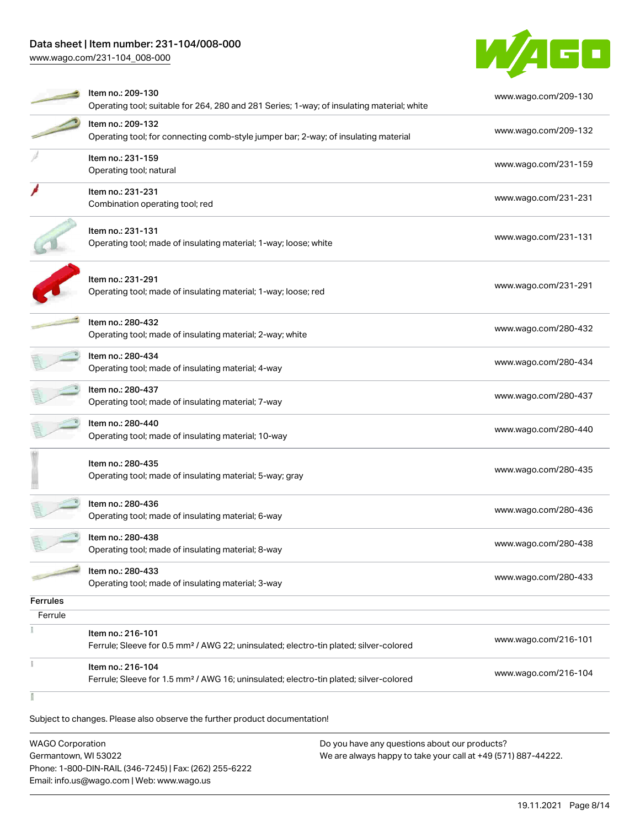[www.wago.com/231-104\\_008-000](http://www.wago.com/231-104_008-000)



|                 | Item no.: 209-130                                                                                                      | www.wago.com/209-130 |
|-----------------|------------------------------------------------------------------------------------------------------------------------|----------------------|
|                 | Operating tool; suitable for 264, 280 and 281 Series; 1-way; of insulating material; white                             |                      |
|                 | Item no.: 209-132                                                                                                      | www.wago.com/209-132 |
|                 | Operating tool; for connecting comb-style jumper bar; 2-way; of insulating material                                    |                      |
|                 | Item no.: 231-159                                                                                                      | www.wago.com/231-159 |
|                 | Operating tool; natural                                                                                                |                      |
|                 | Item no.: 231-231                                                                                                      | www.wago.com/231-231 |
|                 | Combination operating tool; red                                                                                        |                      |
|                 | Item no.: 231-131                                                                                                      |                      |
|                 | Operating tool; made of insulating material; 1-way; loose; white                                                       | www.wago.com/231-131 |
|                 |                                                                                                                        |                      |
|                 | Item no.: 231-291                                                                                                      |                      |
|                 | Operating tool; made of insulating material; 1-way; loose; red                                                         | www.wago.com/231-291 |
|                 |                                                                                                                        |                      |
|                 | Item no.: 280-432                                                                                                      |                      |
|                 | Operating tool; made of insulating material; 2-way; white                                                              | www.wago.com/280-432 |
|                 | Item no.: 280-434                                                                                                      |                      |
|                 | Operating tool; made of insulating material; 4-way                                                                     | www.wago.com/280-434 |
|                 | Item no.: 280-437                                                                                                      |                      |
|                 | Operating tool; made of insulating material; 7-way                                                                     | www.wago.com/280-437 |
|                 |                                                                                                                        |                      |
|                 | Item no.: 280-440<br>Operating tool; made of insulating material; 10-way                                               | www.wago.com/280-440 |
|                 |                                                                                                                        |                      |
|                 | Item no.: 280-435                                                                                                      |                      |
|                 | Operating tool; made of insulating material; 5-way; gray                                                               | www.wago.com/280-435 |
|                 |                                                                                                                        |                      |
|                 | Item no.: 280-436                                                                                                      | www.wago.com/280-436 |
|                 | Operating tool; made of insulating material; 6-way                                                                     |                      |
|                 | Item no.: 280-438                                                                                                      | www.wago.com/280-438 |
|                 | Operating tool; made of insulating material; 8-way                                                                     |                      |
|                 | Item no.: 280-433                                                                                                      |                      |
|                 | Operating tool; made of insulating material; 3-way                                                                     | www.wago.com/280-433 |
| <b>Ferrules</b> |                                                                                                                        |                      |
| Ferrule         |                                                                                                                        |                      |
|                 | Item no.: 216-101                                                                                                      |                      |
|                 | Ferrule; Sleeve for 0.5 mm <sup>2</sup> / AWG 22; uninsulated; electro-tin plated; silver-colored                      | www.wago.com/216-101 |
|                 |                                                                                                                        |                      |
|                 |                                                                                                                        |                      |
|                 | Item no.: 216-104<br>Ferrule; Sleeve for 1.5 mm <sup>2</sup> / AWG 16; uninsulated; electro-tin plated; silver-colored | www.wago.com/216-104 |

Subject to changes. Please also observe the further product documentation!

WAGO Corporation Germantown, WI 53022 Phone: 1-800-DIN-RAIL (346-7245) | Fax: (262) 255-6222 Email: info.us@wago.com | Web: www.wago.us Do you have any questions about our products? We are always happy to take your call at +49 (571) 887-44222.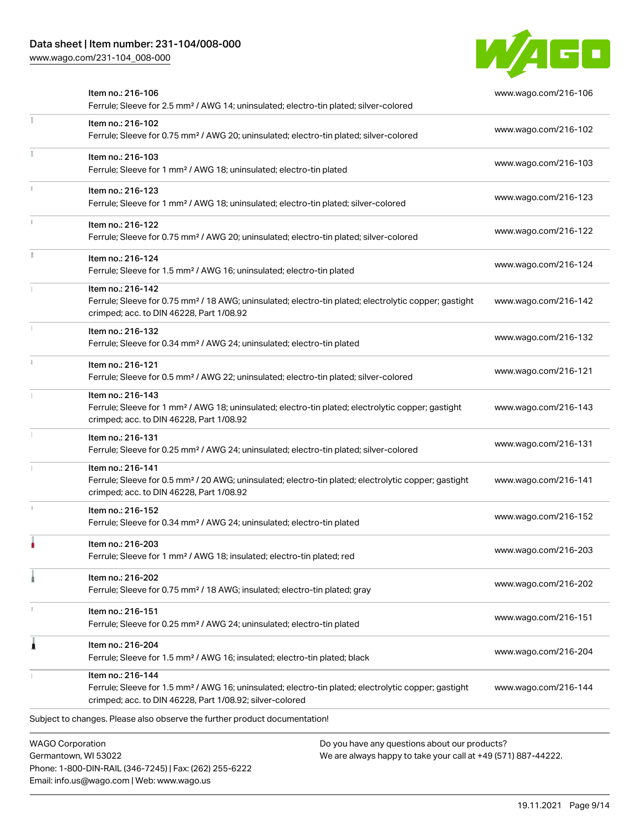Phone: 1-800-DIN-RAIL (346-7245) | Fax: (262) 255-6222

Email: info.us@wago.com | Web: www.wago.us

[www.wago.com/231-104\\_008-000](http://www.wago.com/231-104_008-000)



|                         | Item no.: 216-106<br>Ferrule; Sleeve for 2.5 mm <sup>2</sup> / AWG 14; uninsulated; electro-tin plated; silver-colored                                                                            |                                                                                                                | www.wago.com/216-106 |
|-------------------------|---------------------------------------------------------------------------------------------------------------------------------------------------------------------------------------------------|----------------------------------------------------------------------------------------------------------------|----------------------|
|                         | Item no.: 216-102<br>Ferrule; Sleeve for 0.75 mm <sup>2</sup> / AWG 20; uninsulated; electro-tin plated; silver-colored                                                                           |                                                                                                                | www.wago.com/216-102 |
|                         | Item no.: 216-103<br>Ferrule; Sleeve for 1 mm <sup>2</sup> / AWG 18; uninsulated; electro-tin plated                                                                                              |                                                                                                                | www.wago.com/216-103 |
|                         | Item no.: 216-123<br>Ferrule; Sleeve for 1 mm <sup>2</sup> / AWG 18; uninsulated; electro-tin plated; silver-colored                                                                              |                                                                                                                | www.wago.com/216-123 |
|                         | Item no.: 216-122<br>Ferrule; Sleeve for 0.75 mm <sup>2</sup> / AWG 20; uninsulated; electro-tin plated; silver-colored                                                                           |                                                                                                                | www.wago.com/216-122 |
|                         | Item no.: 216-124<br>Ferrule; Sleeve for 1.5 mm <sup>2</sup> / AWG 16; uninsulated; electro-tin plated                                                                                            |                                                                                                                | www.wago.com/216-124 |
|                         | Item no.: 216-142<br>Ferrule; Sleeve for 0.75 mm <sup>2</sup> / 18 AWG; uninsulated; electro-tin plated; electrolytic copper; gastight<br>crimped; acc. to DIN 46228, Part 1/08.92                |                                                                                                                | www.wago.com/216-142 |
|                         | Item no.: 216-132<br>Ferrule; Sleeve for 0.34 mm <sup>2</sup> / AWG 24; uninsulated; electro-tin plated                                                                                           |                                                                                                                | www.wago.com/216-132 |
|                         | Item no.: 216-121<br>Ferrule; Sleeve for 0.5 mm <sup>2</sup> / AWG 22; uninsulated; electro-tin plated; silver-colored                                                                            |                                                                                                                | www.wago.com/216-121 |
|                         | Item no.: 216-143<br>Ferrule; Sleeve for 1 mm <sup>2</sup> / AWG 18; uninsulated; electro-tin plated; electrolytic copper; gastight<br>crimped; acc. to DIN 46228, Part 1/08.92                   |                                                                                                                | www.wago.com/216-143 |
|                         | Item no.: 216-131<br>Ferrule; Sleeve for 0.25 mm <sup>2</sup> / AWG 24; uninsulated; electro-tin plated; silver-colored                                                                           |                                                                                                                | www.wago.com/216-131 |
|                         | Item no.: 216-141<br>Ferrule; Sleeve for 0.5 mm <sup>2</sup> / 20 AWG; uninsulated; electro-tin plated; electrolytic copper; gastight<br>crimped; acc. to DIN 46228, Part 1/08.92                 |                                                                                                                | www.wago.com/216-141 |
|                         | Item no.: 216-152<br>Ferrule; Sleeve for 0.34 mm <sup>2</sup> / AWG 24; uninsulated; electro-tin plated                                                                                           |                                                                                                                | www.wago.com/216-152 |
|                         | Item no.: 216-203<br>Ferrule; Sleeve for 1 mm <sup>2</sup> / AWG 18; insulated; electro-tin plated; red                                                                                           |                                                                                                                | www.wago.com/216-203 |
|                         | Item no.: 216-202<br>Ferrule; Sleeve for 0.75 mm <sup>2</sup> / 18 AWG; insulated; electro-tin plated; gray                                                                                       |                                                                                                                | www.wago.com/216-202 |
|                         | Item no.: 216-151<br>Ferrule; Sleeve for 0.25 mm <sup>2</sup> / AWG 24; uninsulated; electro-tin plated                                                                                           |                                                                                                                | www.wago.com/216-151 |
|                         | Item no.: 216-204<br>Ferrule; Sleeve for 1.5 mm <sup>2</sup> / AWG 16; insulated; electro-tin plated; black                                                                                       |                                                                                                                | www.wago.com/216-204 |
|                         | Item no.: 216-144<br>Ferrule; Sleeve for 1.5 mm <sup>2</sup> / AWG 16; uninsulated; electro-tin plated; electrolytic copper; gastight<br>crimped; acc. to DIN 46228, Part 1/08.92; silver-colored |                                                                                                                | www.wago.com/216-144 |
|                         | Subject to changes. Please also observe the further product documentation!                                                                                                                        |                                                                                                                |                      |
| <b>WAGO Corporation</b> | Germantown, WI 53022                                                                                                                                                                              | Do you have any questions about our products?<br>We are always happy to take your call at +49 (571) 887-44222. |                      |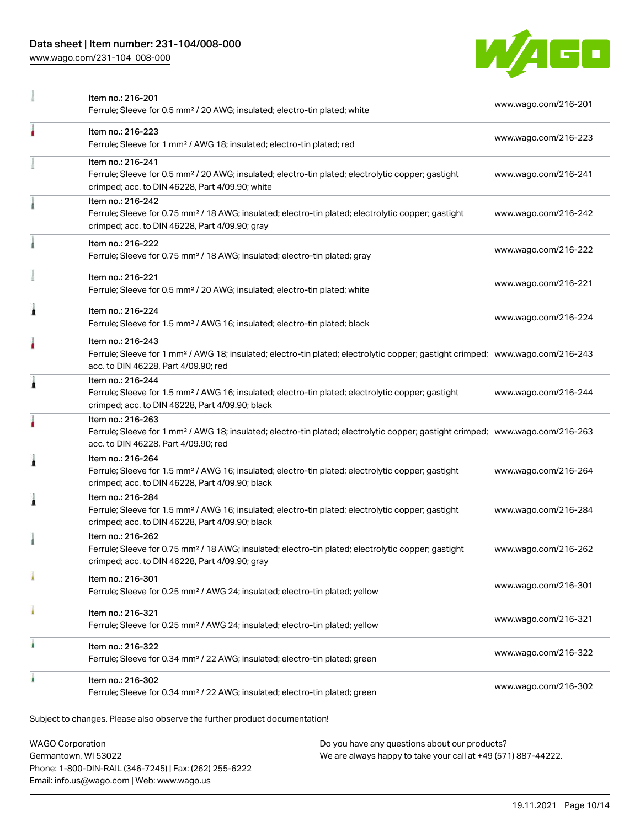[www.wago.com/231-104\\_008-000](http://www.wago.com/231-104_008-000)



|   | Item no.: 216-201<br>Ferrule; Sleeve for 0.5 mm <sup>2</sup> / 20 AWG; insulated; electro-tin plated; white                                                                                             | www.wago.com/216-201 |
|---|---------------------------------------------------------------------------------------------------------------------------------------------------------------------------------------------------------|----------------------|
| ٥ | Item no.: 216-223<br>Ferrule; Sleeve for 1 mm <sup>2</sup> / AWG 18; insulated; electro-tin plated; red                                                                                                 | www.wago.com/216-223 |
|   | Item no.: 216-241<br>Ferrule; Sleeve for 0.5 mm <sup>2</sup> / 20 AWG; insulated; electro-tin plated; electrolytic copper; gastight<br>crimped; acc. to DIN 46228, Part 4/09.90; white                  | www.wago.com/216-241 |
|   | Item no.: 216-242<br>Ferrule; Sleeve for 0.75 mm <sup>2</sup> / 18 AWG; insulated; electro-tin plated; electrolytic copper; gastight<br>crimped; acc. to DIN 46228, Part 4/09.90; gray                  | www.wago.com/216-242 |
|   | Item no.: 216-222<br>Ferrule; Sleeve for 0.75 mm <sup>2</sup> / 18 AWG; insulated; electro-tin plated; gray                                                                                             | www.wago.com/216-222 |
|   | Item no.: 216-221<br>Ferrule; Sleeve for 0.5 mm <sup>2</sup> / 20 AWG; insulated; electro-tin plated; white                                                                                             | www.wago.com/216-221 |
|   | Item no.: 216-224<br>Ferrule; Sleeve for 1.5 mm <sup>2</sup> / AWG 16; insulated; electro-tin plated; black                                                                                             | www.wago.com/216-224 |
| ٥ | Item no.: 216-243<br>Ferrule; Sleeve for 1 mm <sup>2</sup> / AWG 18; insulated; electro-tin plated; electrolytic copper; gastight crimped; www.wago.com/216-243<br>acc. to DIN 46228, Part 4/09.90; red |                      |
| 1 | Item no.: 216-244<br>Ferrule; Sleeve for 1.5 mm <sup>2</sup> / AWG 16; insulated; electro-tin plated; electrolytic copper; gastight<br>crimped; acc. to DIN 46228, Part 4/09.90; black                  | www.wago.com/216-244 |
|   | Item no.: 216-263<br>Ferrule; Sleeve for 1 mm <sup>2</sup> / AWG 18; insulated; electro-tin plated; electrolytic copper; gastight crimped; www.wago.com/216-263<br>acc. to DIN 46228, Part 4/09.90; red |                      |
|   | Item no.: 216-264<br>Ferrule; Sleeve for 1.5 mm <sup>2</sup> / AWG 16; insulated; electro-tin plated; electrolytic copper; gastight<br>crimped; acc. to DIN 46228, Part 4/09.90; black                  | www.wago.com/216-264 |
| 1 | Item no.: 216-284<br>Ferrule; Sleeve for 1.5 mm <sup>2</sup> / AWG 16; insulated; electro-tin plated; electrolytic copper; gastight<br>crimped; acc. to DIN 46228, Part 4/09.90; black                  | www.wago.com/216-284 |
|   | Item no.: 216-262<br>Ferrule; Sleeve for 0.75 mm <sup>2</sup> / 18 AWG; insulated; electro-tin plated; electrolytic copper; gastight<br>crimped; acc. to DIN 46228, Part 4/09.90; gray                  | www.wago.com/216-262 |
|   | Item no.: 216-301<br>Ferrule; Sleeve for 0.25 mm <sup>2</sup> / AWG 24; insulated; electro-tin plated; yellow                                                                                           | www.wago.com/216-301 |
|   | Item no.: 216-321<br>Ferrule; Sleeve for 0.25 mm <sup>2</sup> / AWG 24; insulated; electro-tin plated; yellow                                                                                           | www.wago.com/216-321 |
|   | Item no.: 216-322<br>Ferrule; Sleeve for 0.34 mm <sup>2</sup> / 22 AWG; insulated; electro-tin plated; green                                                                                            | www.wago.com/216-322 |
|   | Item no.: 216-302<br>Ferrule; Sleeve for 0.34 mm <sup>2</sup> / 22 AWG; insulated; electro-tin plated; green                                                                                            | www.wago.com/216-302 |

WAGO Corporation Germantown, WI 53022 Phone: 1-800-DIN-RAIL (346-7245) | Fax: (262) 255-6222 Email: info.us@wago.com | Web: www.wago.us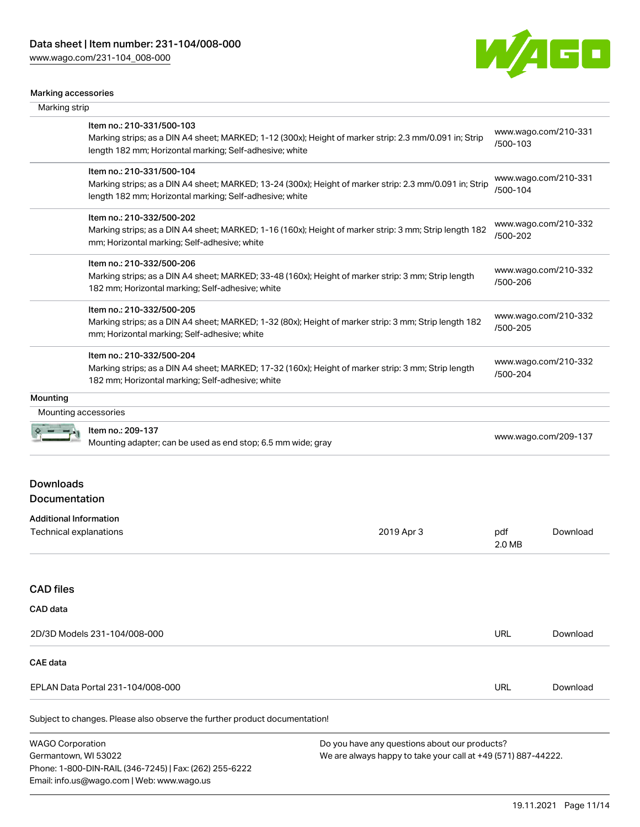Email: info.us@wago.com | Web: www.wago.us



#### Marking accessories

| warning avvouuvriuu<br>Marking strip |                                                                                                                                                                    |                                                               |               |                      |
|--------------------------------------|--------------------------------------------------------------------------------------------------------------------------------------------------------------------|---------------------------------------------------------------|---------------|----------------------|
|                                      |                                                                                                                                                                    |                                                               |               |                      |
|                                      | Item no.: 210-331/500-103<br>Marking strips; as a DIN A4 sheet; MARKED; 1-12 (300x); Height of marker strip: 2.3 mm/0.091 in; Strip                                |                                                               | /500-103      | www.wago.com/210-331 |
|                                      | length 182 mm; Horizontal marking; Self-adhesive; white                                                                                                            |                                                               |               |                      |
|                                      | Item no.: 210-331/500-104                                                                                                                                          |                                                               |               | www.wago.com/210-331 |
|                                      | Marking strips; as a DIN A4 sheet; MARKED; 13-24 (300x); Height of marker strip: 2.3 mm/0.091 in; Strip<br>length 182 mm; Horizontal marking; Self-adhesive; white |                                                               | /500-104      |                      |
|                                      | Item no.: 210-332/500-202                                                                                                                                          |                                                               |               | www.wago.com/210-332 |
|                                      | Marking strips; as a DIN A4 sheet; MARKED; 1-16 (160x); Height of marker strip: 3 mm; Strip length 182<br>mm; Horizontal marking; Self-adhesive; white             |                                                               | /500-202      |                      |
|                                      | Item no.: 210-332/500-206                                                                                                                                          |                                                               |               | www.wago.com/210-332 |
|                                      | Marking strips; as a DIN A4 sheet; MARKED; 33-48 (160x); Height of marker strip: 3 mm; Strip length<br>182 mm; Horizontal marking; Self-adhesive; white            |                                                               | /500-206      |                      |
|                                      | Item no.: 210-332/500-205                                                                                                                                          |                                                               |               | www.wago.com/210-332 |
|                                      | Marking strips; as a DIN A4 sheet; MARKED; 1-32 (80x); Height of marker strip: 3 mm; Strip length 182<br>mm; Horizontal marking; Self-adhesive; white              |                                                               | /500-205      |                      |
|                                      | Item no.: 210-332/500-204                                                                                                                                          |                                                               |               | www.wago.com/210-332 |
|                                      | Marking strips; as a DIN A4 sheet; MARKED; 17-32 (160x); Height of marker strip: 3 mm; Strip length<br>182 mm; Horizontal marking; Self-adhesive; white            |                                                               | /500-204      |                      |
| Mounting                             |                                                                                                                                                                    |                                                               |               |                      |
| Mounting accessories                 |                                                                                                                                                                    |                                                               |               |                      |
|                                      | Item no.: 209-137<br>Mounting adapter; can be used as end stop; 6.5 mm wide; gray                                                                                  |                                                               |               | www.wago.com/209-137 |
| <b>Downloads</b>                     |                                                                                                                                                                    |                                                               |               |                      |
| Documentation                        |                                                                                                                                                                    |                                                               |               |                      |
| <b>Additional Information</b>        |                                                                                                                                                                    |                                                               |               |                      |
| Technical explanations               |                                                                                                                                                                    | 2019 Apr 3                                                    | pdf<br>2.0 MB | Download             |
| <b>CAD</b> files                     |                                                                                                                                                                    |                                                               |               |                      |
| CAD data                             |                                                                                                                                                                    |                                                               |               |                      |
| 2D/3D Models 231-104/008-000         |                                                                                                                                                                    | URL                                                           | Download      |                      |
| <b>CAE data</b>                      |                                                                                                                                                                    |                                                               |               |                      |
|                                      | EPLAN Data Portal 231-104/008-000                                                                                                                                  |                                                               | <b>URL</b>    | Download             |
|                                      | Subject to changes. Please also observe the further product documentation!                                                                                         |                                                               |               |                      |
| <b>WAGO Corporation</b>              |                                                                                                                                                                    | Do you have any questions about our products?                 |               |                      |
| Germantown, WI 53022                 |                                                                                                                                                                    | We are always happy to take your call at +49 (571) 887-44222. |               |                      |
|                                      | Phone: 1-800-DIN-RAIL (346-7245)   Fax: (262) 255-6222                                                                                                             |                                                               |               |                      |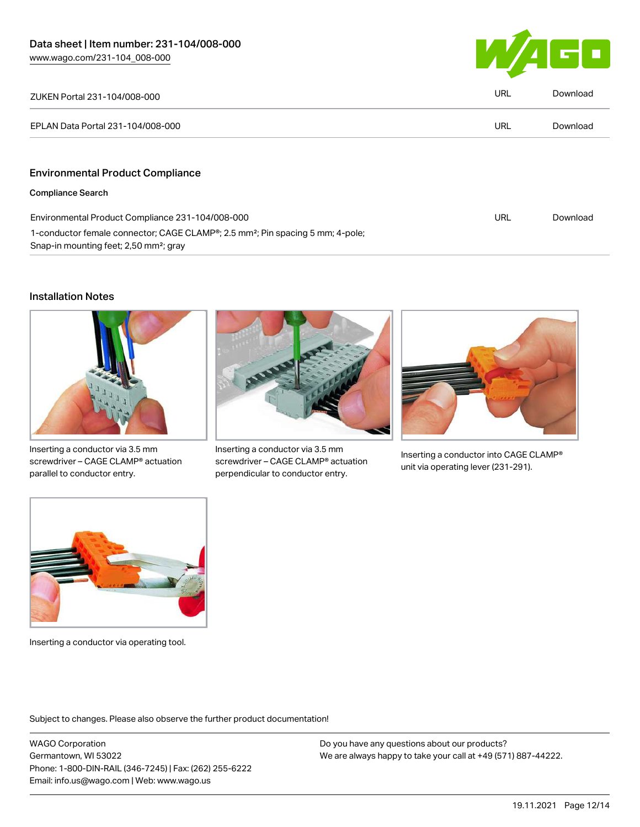

| ZUKEN Portal 231-104/008-000                                                                                                                     | URL | Download |
|--------------------------------------------------------------------------------------------------------------------------------------------------|-----|----------|
| EPLAN Data Portal 231-104/008-000                                                                                                                | URL | Download |
|                                                                                                                                                  |     |          |
| <b>Environmental Product Compliance</b>                                                                                                          |     |          |
| <b>Compliance Search</b>                                                                                                                         |     |          |
| Environmental Product Compliance 231-104/008-000                                                                                                 | URL | Download |
| 1-conductor female connector; CAGE CLAMP®; 2.5 mm <sup>2</sup> ; Pin spacing 5 mm; 4-pole;<br>Snap-in mounting feet; 2,50 mm <sup>2</sup> ; gray |     |          |

# Installation Notes



Inserting a conductor via 3.5 mm screwdriver – CAGE CLAMP® actuation parallel to conductor entry.



Inserting a conductor via 3.5 mm screwdriver – CAGE CLAMP® actuation perpendicular to conductor entry.



Inserting a conductor into CAGE CLAMP® unit via operating lever (231-291).



Inserting a conductor via operating tool.

Subject to changes. Please also observe the further product documentation!

WAGO Corporation Germantown, WI 53022 Phone: 1-800-DIN-RAIL (346-7245) | Fax: (262) 255-6222 Email: info.us@wago.com | Web: www.wago.us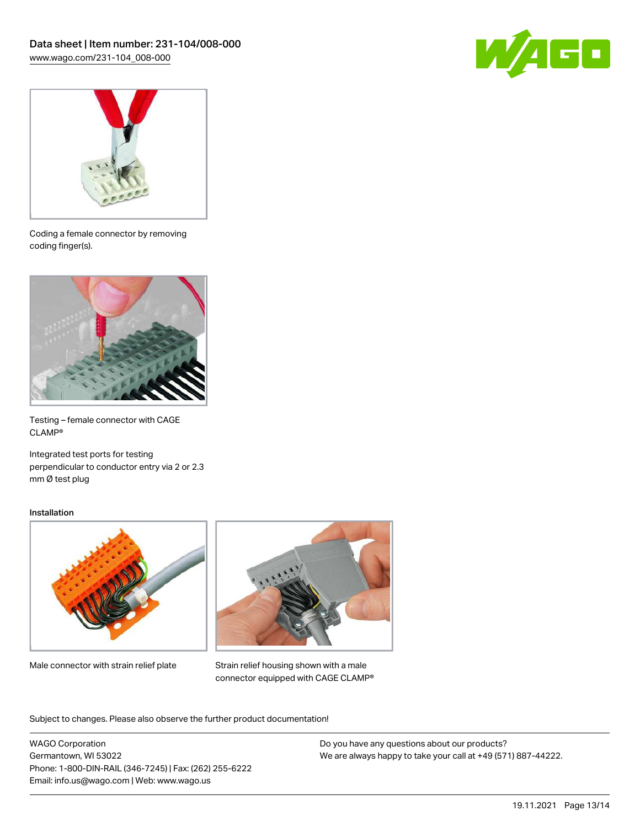



Coding a female connector by removing coding finger(s).



Testing – female connector with CAGE CLAMP®

Integrated test ports for testing perpendicular to conductor entry via 2 or 2.3 mm Ø test plug

#### Installation



Male connector with strain relief plate



Strain relief housing shown with a male connector equipped with CAGE CLAMP®

Subject to changes. Please also observe the further product documentation!

WAGO Corporation Germantown, WI 53022 Phone: 1-800-DIN-RAIL (346-7245) | Fax: (262) 255-6222 Email: info.us@wago.com | Web: www.wago.us